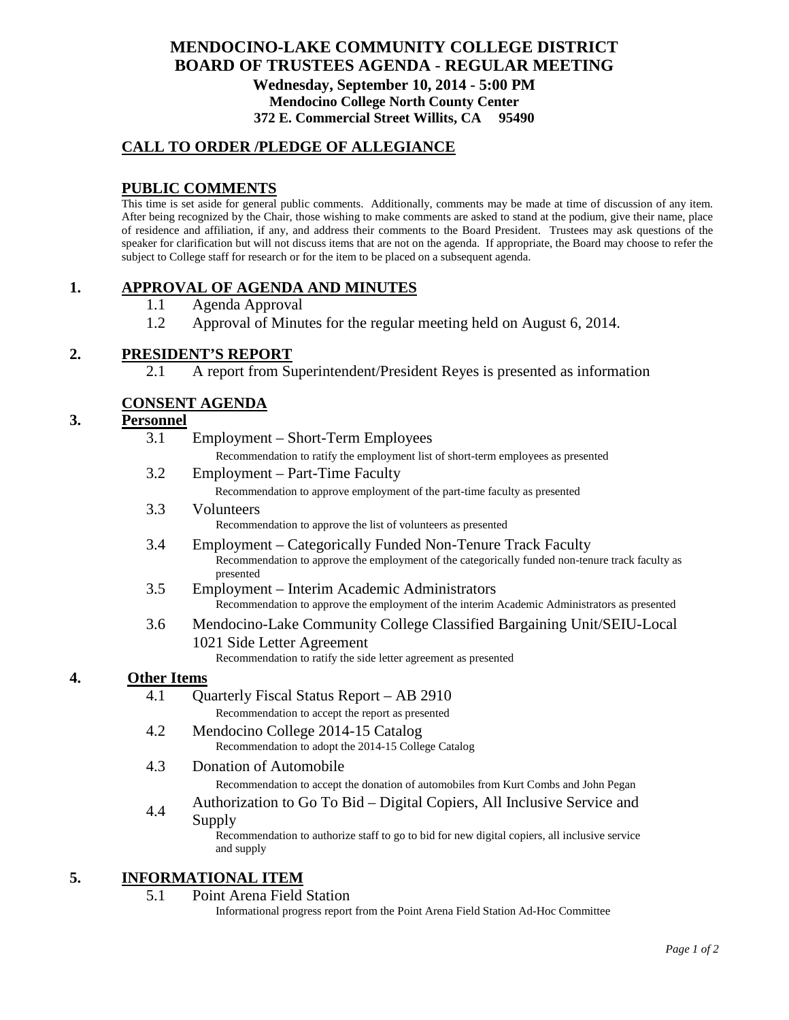# **MENDOCINO-LAKE COMMUNITY COLLEGE DISTRICT BOARD OF TRUSTEES AGENDA** - **REGULAR MEETING Wednesday, September 10, 2014 - 5:00 PM Mendocino College North County Center 372 E. Commercial Street Willits, CA 95490**

# **CALL TO ORDER /PLEDGE OF ALLEGIANCE**

# **PUBLIC COMMENTS**

This time is set aside for general public comments. Additionally, comments may be made at time of discussion of any item. After being recognized by the Chair, those wishing to make comments are asked to stand at the podium, give their name, place of residence and affiliation, if any, and address their comments to the Board President. Trustees may ask questions of the speaker for clarification but will not discuss items that are not on the agenda. If appropriate, the Board may choose to refer the subject to College staff for research or for the item to be placed on a subsequent agenda.

## **1. APPROVAL OF AGENDA AND MINUTES**

- 1.1 Agenda Approval
- 1.2 Approval of Minutes for the regular meeting held on August 6, 2014.

### **2. PRESIDENT'S REPORT**

2.1 A report from Superintendent/President Reyes is presented as information

## **CONSENT AGENDA**

### **3. Personnel**

|    | 3.1                | Employment – Short-Term Employees                                                                             |
|----|--------------------|---------------------------------------------------------------------------------------------------------------|
|    |                    | Recommendation to ratify the employment list of short-term employees as presented                             |
|    | 3.2                | Employment – Part-Time Faculty                                                                                |
|    |                    | Recommendation to approve employment of the part-time faculty as presented                                    |
|    | 3.3                | Volunteers                                                                                                    |
|    |                    | Recommendation to approve the list of volunteers as presented                                                 |
|    | 3.4                | Employment – Categorically Funded Non-Tenure Track Faculty                                                    |
|    |                    | Recommendation to approve the employment of the categorically funded non-tenure track faculty as<br>presented |
|    | 3.5                | Employment – Interim Academic Administrators                                                                  |
|    |                    | Recommendation to approve the employment of the interim Academic Administrators as presented                  |
|    | 3.6                | Mendocino-Lake Community College Classified Bargaining Unit/SEIU-Local                                        |
|    |                    | 1021 Side Letter Agreement                                                                                    |
|    |                    | Recommendation to ratify the side letter agreement as presented                                               |
| 4. | <b>Other Items</b> |                                                                                                               |
|    | 4.1                | Quarterly Fiscal Status Report - AB 2910                                                                      |
|    |                    | Recommendation to accept the report as presented                                                              |
|    | 4.2                | Mendocino College 2014-15 Catalog                                                                             |
|    |                    | Recommendation to adopt the 2014-15 College Catalog                                                           |
|    | 4.3                | Donation of Automobile                                                                                        |
|    |                    |                                                                                                               |

Recommendation to accept the donation of automobiles from Kurt Combs and John Pegan

Authorization to Go To Bid – Digital Copiers, All Inclusive Service and

#### Supply

Recommendation to authorize staff to go to bid for new digital copiers, all inclusive service and supply

## **5. INFORMATIONAL ITEM**

#### 5.1 Point Arena Field Station

Informational progress report from the Point Arena Field Station Ad-Hoc Committee